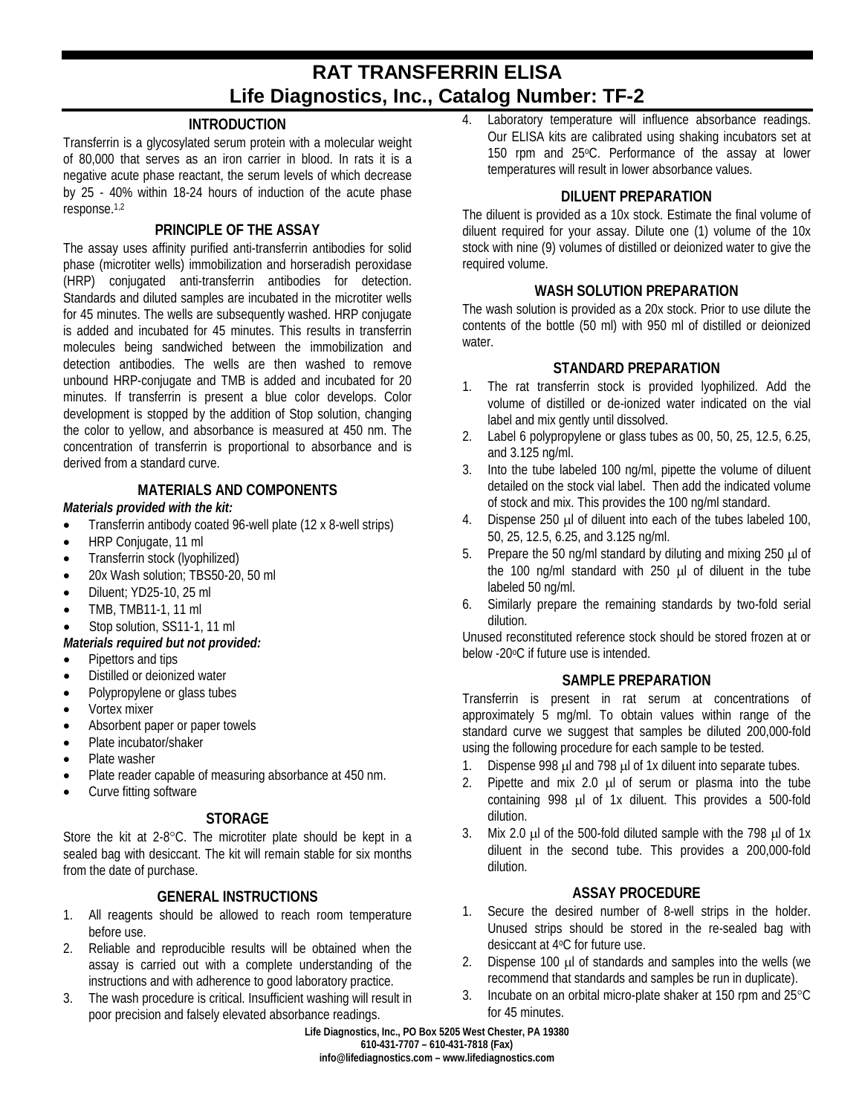# **RAT TRANSFERRIN ELISA Life Diagnostics, Inc., Catalog Number: TF-2**

## **INTRODUCTION**

Transferrin is a glycosylated serum protein with a molecular weight of 80,000 that serves as an iron carrier in blood. In rats it is a negative acute phase reactant, the serum levels of which decrease by 25 - 40% within 18-24 hours of induction of the acute phase response.1,2

## **PRINCIPLE OF THE ASSAY**

The assay uses affinity purified anti-transferrin antibodies for solid phase (microtiter wells) immobilization and horseradish peroxidase (HRP) conjugated anti-transferrin antibodies for detection. Standards and diluted samples are incubated in the microtiter wells for 45 minutes. The wells are subsequently washed. HRP conjugate is added and incubated for 45 minutes. This results in transferrin molecules being sandwiched between the immobilization and detection antibodies. The wells are then washed to remove unbound HRP-conjugate and TMB is added and incubated for 20 minutes. If transferrin is present a blue color develops. Color development is stopped by the addition of Stop solution, changing the color to yellow, and absorbance is measured at 450 nm. The concentration of transferrin is proportional to absorbance and is derived from a standard curve.

## **MATERIALS AND COMPONENTS**

#### *Materials provided with the kit:*

- Transferrin antibody coated 96-well plate (12 x 8-well strips)
- HRP Conjugate, 11 ml
- Transferrin stock (lyophilized)
- 20x Wash solution; TBS50-20, 50 ml
- Diluent: YD25-10, 25 ml
- TMB, TMB11-1, 11 ml

# Stop solution, SS11-1, 11 ml

### *Materials required but not provided:*

- Pipettors and tips
- Distilled or deionized water
- Polypropylene or glass tubes
- Vortex mixer
- Absorbent paper or paper towels
- Plate incubator/shaker
- Plate washer
- Plate reader capable of measuring absorbance at 450 nm.
- Curve fitting software

# **STORAGE**

Store the kit at 2-8°C. The microtiter plate should be kept in a sealed bag with desiccant. The kit will remain stable for six months from the date of purchase.

# **GENERAL INSTRUCTIONS**

- 1. All reagents should be allowed to reach room temperature before use.
- 2. Reliable and reproducible results will be obtained when the assay is carried out with a complete understanding of the instructions and with adherence to good laboratory practice.
- 3. The wash procedure is critical. Insufficient washing will result in poor precision and falsely elevated absorbance readings.

4. Laboratory temperature will influence absorbance readings. Our ELISA kits are calibrated using shaking incubators set at 150 rpm and 25°C. Performance of the assay at lower temperatures will result in lower absorbance values.

## **DILUENT PREPARATION**

The diluent is provided as a 10x stock. Estimate the final volume of diluent required for your assay. Dilute one (1) volume of the 10x stock with nine (9) volumes of distilled or deionized water to give the required volume.

## **WASH SOLUTION PREPARATION**

The wash solution is provided as a 20x stock. Prior to use dilute the contents of the bottle (50 ml) with 950 ml of distilled or deionized water.

## **STANDARD PREPARATION**

- 1. The rat transferrin stock is provided lyophilized. Add the volume of distilled or de-ionized water indicated on the vial label and mix gently until dissolved.
- 2. Label 6 polypropylene or glass tubes as 00, 50, 25, 12.5, 6.25, and 3.125 ng/ml.
- 3. Into the tube labeled 100 ng/ml, pipette the volume of diluent detailed on the stock vial label. Then add the indicated volume of stock and mix. This provides the 100 ng/ml standard.
- 4. Dispense 250 µl of diluent into each of the tubes labeled 100, 50, 25, 12.5, 6.25, and 3.125 ng/ml.
- 5. Prepare the 50 ng/ml standard by diluting and mixing  $250 \mu$  of the 100 ng/ml standard with 250 µl of diluent in the tube labeled 50 ng/ml.
- 6. Similarly prepare the remaining standards by two-fold serial dilution.

Unused reconstituted reference stock should be stored frozen at or below -20oC if future use is intended.

### **SAMPLE PREPARATION**

Transferrin is present in rat serum at concentrations of approximately 5 mg/ml. To obtain values within range of the standard curve we suggest that samples be diluted 200,000-fold using the following procedure for each sample to be tested.

- 1. Dispense 998 µl and 798 µl of 1x diluent into separate tubes.
- 2. Pipette and mix 2.0 µl of serum or plasma into the tube containing 998 µl of 1x diluent. This provides a 500-fold dilution.
- 3. Mix 2.0 µl of the 500-fold diluted sample with the 798 µl of 1x diluent in the second tube. This provides a 200,000-fold dilution.

### **ASSAY PROCEDURE**

- 1. Secure the desired number of 8-well strips in the holder. Unused strips should be stored in the re-sealed bag with desiccant at 4oC for future use.
- 2. Dispense 100 µl of standards and samples into the wells (we recommend that standards and samples be run in duplicate).
- 3. Incubate on an orbital micro-plate shaker at 150 rpm and 25°C for 45 minutes.

**Life Diagnostics, Inc., PO Box 5205 West Chester, PA 19380 610-431-7707 – 610-431-7818 (Fax) info@lifediagnostics.com – www.lifediagnostics.com**